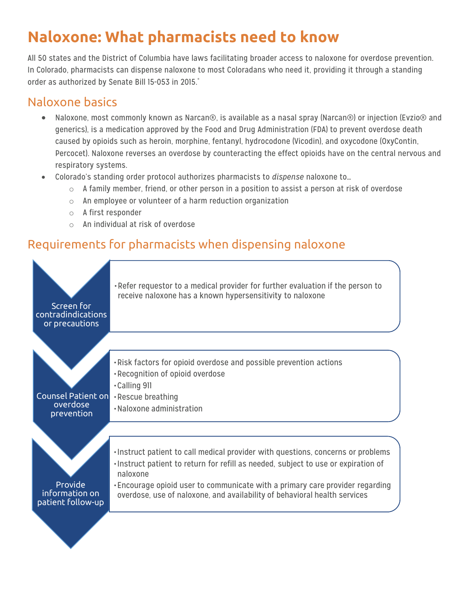# **Naloxone: What pharmacists need to know**

All 50 states and the District of Columbia have laws facilitating broader access to naloxone for overdose prevention. In Colorado, pharmacists can dispense naloxone to most Coloradans who need it, providing it through a standing order as authorized by Senate Bill 15-053 in 2015. \*

# Naloxone basics

- Naloxone, most commonly known as Narcan®, is available as a nasal spray (Narcan®) or injection (Evzio® and generics), is a medication approved by the Food and Drug Administration (FDA) to prevent overdose death caused by opioids such as heroin, morphine, fentanyl, hydrocodone (Vicodin), and oxycodone (OxyContin, Percocet). Naloxone reverses an overdose by counteracting the effect opioids have on the central nervous and respiratory systems.
- Colorado's standing order protocol authorizes pharmacists to *dispense* naloxone to…
	- $\circ$  A family member, friend, or other person in a position to assist a person at risk of overdose
	- $\circ$  An employee or volunteer of a harm reduction organization
	- o A first responder
	- o An individual at risk of overdose

# Requirements for pharmacists when dispensing naloxone